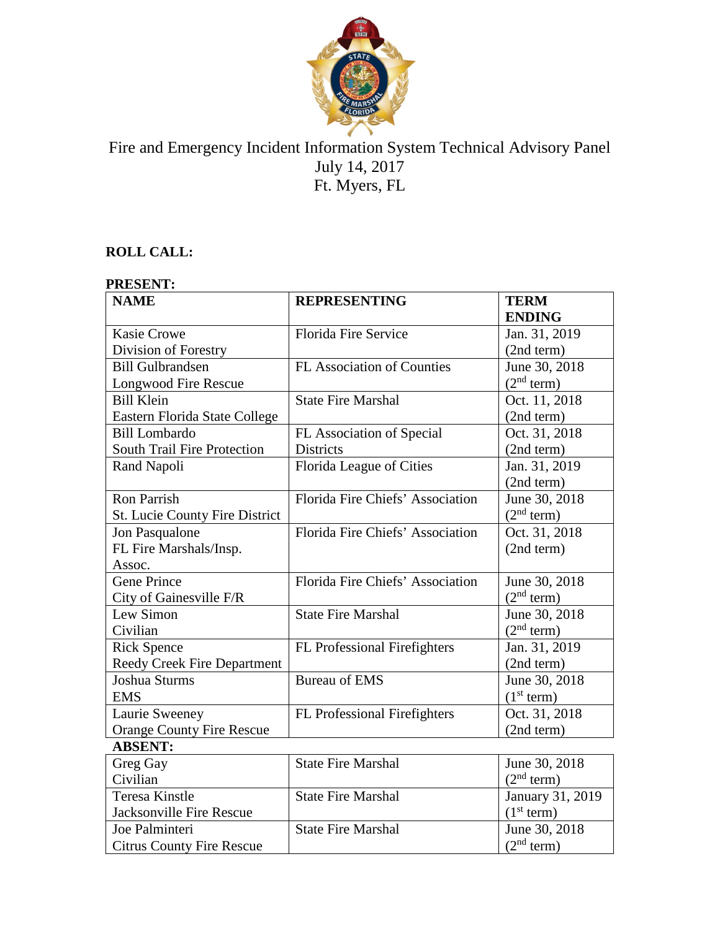

# Fire and Emergency Incident Information System Technical Advisory Panel July 14, 2017 Ft. Myers, FL

## **ROLL CALL:**

| <b>PRESENT:</b>                    |                                  |                        |
|------------------------------------|----------------------------------|------------------------|
| <b>NAME</b>                        | <b>REPRESENTING</b>              | <b>TERM</b>            |
|                                    |                                  | <b>ENDING</b>          |
| <b>Kasie Crowe</b>                 | <b>Florida Fire Service</b>      | Jan. 31, 2019          |
| Division of Forestry               |                                  | (2nd term)             |
| <b>Bill Gulbrandsen</b>            | FL Association of Counties       | June 30, 2018          |
| Longwood Fire Rescue               |                                  | (2 <sup>nd</sup> term) |
| <b>Bill Klein</b>                  | <b>State Fire Marshal</b>        | Oct. 11, 2018          |
| Eastern Florida State College      |                                  | (2nd term)             |
| <b>Bill Lombardo</b>               | FL Association of Special        | Oct. 31, 2018          |
| <b>South Trail Fire Protection</b> | <b>Districts</b>                 | (2nd term)             |
| Rand Napoli                        | Florida League of Cities         | Jan. 31, 2019          |
|                                    |                                  | (2nd term)             |
| <b>Ron Parrish</b>                 | Florida Fire Chiefs' Association | June 30, 2018          |
| St. Lucie County Fire District     |                                  | (2 <sup>nd</sup> term) |
| Jon Pasqualone                     | Florida Fire Chiefs' Association | Oct. 31, 2018          |
| FL Fire Marshals/Insp.             |                                  | (2nd term)             |
| Assoc.                             |                                  |                        |
| <b>Gene Prince</b>                 | Florida Fire Chiefs' Association | June 30, 2018          |
| City of Gainesville F/R            |                                  | (2 <sup>nd</sup> term) |
| Lew Simon                          | <b>State Fire Marshal</b>        | June 30, 2018          |
| Civilian                           |                                  | (2 <sup>nd</sup> term) |
| <b>Rick Spence</b>                 | FL Professional Firefighters     | Jan. 31, 2019          |
| Reedy Creek Fire Department        |                                  | (2nd term)             |
| Joshua Sturms                      | <b>Bureau of EMS</b>             | June 30, 2018          |
| <b>EMS</b>                         |                                  | (1 <sup>st</sup> term) |
| Laurie Sweeney                     | FL Professional Firefighters     | Oct. 31, 2018          |
| <b>Orange County Fire Rescue</b>   |                                  | (2nd term)             |
| <b>ABSENT:</b>                     |                                  |                        |
| Greg Gay                           | <b>State Fire Marshal</b>        | June 30, 2018          |
| Civilian                           |                                  | (2 <sup>nd</sup> term) |
| <b>Teresa Kinstle</b>              | <b>State Fire Marshal</b>        | January 31, 2019       |
| Jacksonville Fire Rescue           |                                  | (1 <sup>st</sup> term) |
| Joe Palminteri                     | <b>State Fire Marshal</b>        | June 30, 2018          |
| <b>Citrus County Fire Rescue</b>   |                                  | (2 <sup>nd</sup> term) |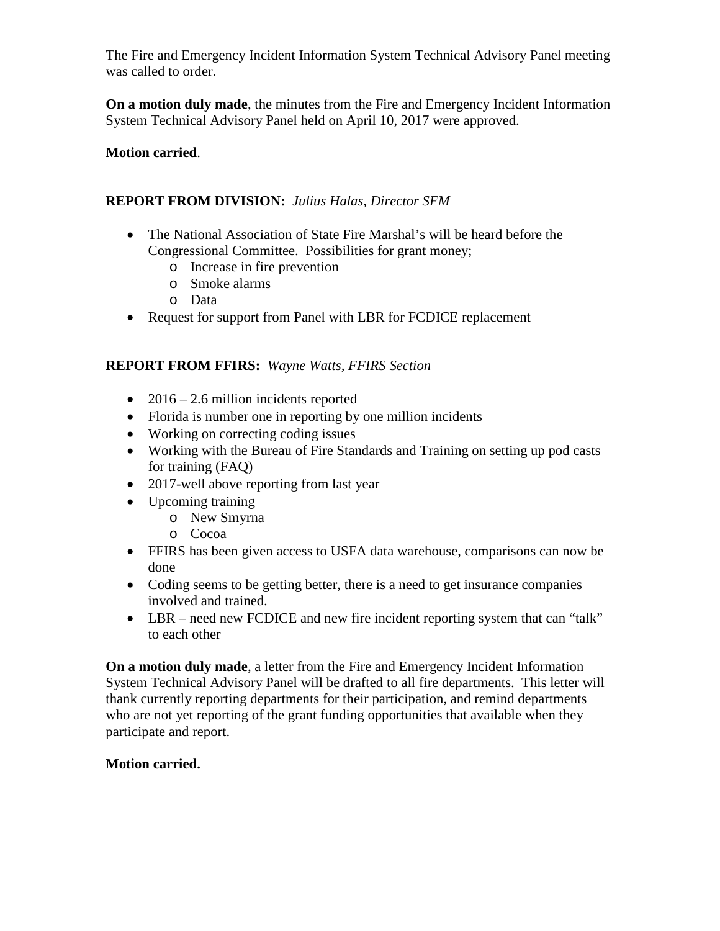The Fire and Emergency Incident Information System Technical Advisory Panel meeting was called to order.

**On a motion duly made**, the minutes from the Fire and Emergency Incident Information System Technical Advisory Panel held on April 10, 2017 were approved.

## **Motion carried**.

## **REPORT FROM DIVISION:** *Julius Halas, Director SFM*

- The National Association of State Fire Marshal's will be heard before the Congressional Committee. Possibilities for grant money;
	- o Increase in fire prevention
	- o Smoke alarms
	- o Data
- Request for support from Panel with LBR for FCDICE replacement

## **REPORT FROM FFIRS:** *Wayne Watts, FFIRS Section*

- 2016 2.6 million incidents reported
- Florida is number one in reporting by one million incidents
- Working on correcting coding issues
- Working with the Bureau of Fire Standards and Training on setting up pod casts for training (FAQ)
- 2017-well above reporting from last year
- Upcoming training
	- o New Smyrna
	- o Cocoa
- FFIRS has been given access to USFA data warehouse, comparisons can now be done
- Coding seems to be getting better, there is a need to get insurance companies involved and trained.
- LBR need new FCDICE and new fire incident reporting system that can "talk" to each other

**On a motion duly made**, a letter from the Fire and Emergency Incident Information System Technical Advisory Panel will be drafted to all fire departments. This letter will thank currently reporting departments for their participation, and remind departments who are not yet reporting of the grant funding opportunities that available when they participate and report.

### **Motion carried.**